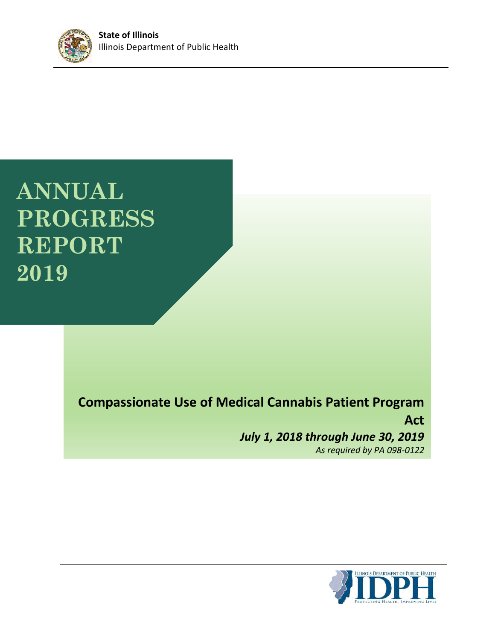

**ANNUAL PROGRESS REPORT 2019**

> **Compassionate Use of Medical Cannabis Patient Program Act** *July 1, 2018 through June 30, 2019 As required by PA 098-0122*

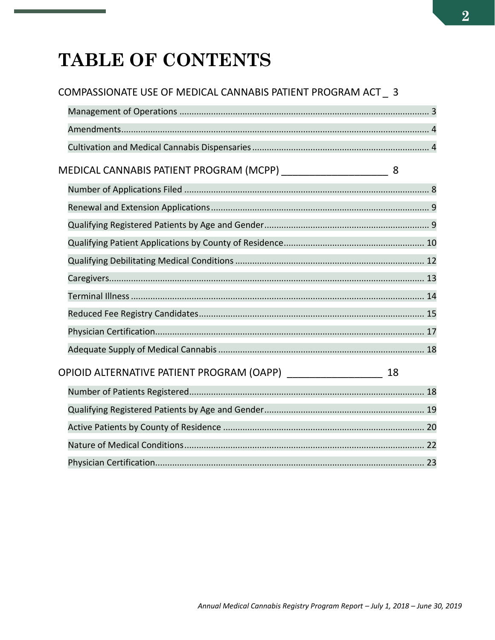# TABLE OF CONTENTS

# COMPASSIONATE USE OF MEDICAL CANNABIS PATIENT PROGRAM ACT\_3

| MEDICAL CANNABIS PATIENT PROGRAM (MCPP) __________________________________ 8   |  |
|--------------------------------------------------------------------------------|--|
|                                                                                |  |
|                                                                                |  |
|                                                                                |  |
|                                                                                |  |
|                                                                                |  |
|                                                                                |  |
|                                                                                |  |
|                                                                                |  |
|                                                                                |  |
|                                                                                |  |
| OPIOID ALTERNATIVE PATIENT PROGRAM (OAPP) _________________________________ 18 |  |
|                                                                                |  |
|                                                                                |  |
|                                                                                |  |
|                                                                                |  |
|                                                                                |  |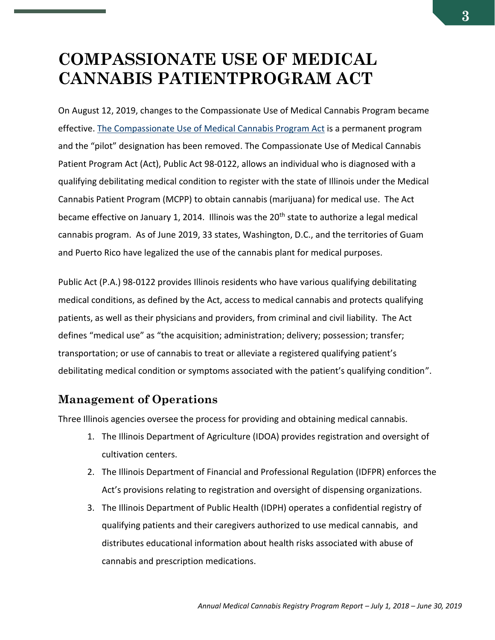# <span id="page-2-0"></span>**COMPASSIONATE USE OF MEDICAL CANNABIS PATIENTPROGRAM ACT**

On August 12, 2019, changes to the Compassionate Use of Medical Cannabis Program became effective. [The Compassionate Use of Medical Cannabis Program Act](http://www.ilga.gov/legislation/ilcs/ilcs3.asp?ActID=3503&ChapterID=35) is a permanent program and the "pilot" designation has been removed. The Compassionate Use of Medical Cannabis Patient Program Act (Act), Public Act 98-0122, allows an individual who is diagnosed with a qualifying debilitating medical condition to register with the state of Illinois under the Medical Cannabis Patient Program (MCPP) to obtain cannabis (marijuana) for medical use. The Act became effective on January 1, 2014. Illinois was the 20<sup>th</sup> state to authorize a legal medical cannabis program. As of June 2019, 33 states, Washington, D.C., and the territories of Guam and Puerto Rico have legalized the use of the cannabis plant for medical purposes.

Public Act (P.A.) 98-0122 provides Illinois residents who have various qualifying debilitating medical conditions, as defined by the Act, access to medical cannabis and protects qualifying patients, as well as their physicians and providers, from criminal and civil liability. The Act defines "medical use" as "the acquisition; administration; delivery; possession; transfer; transportation; or use of cannabis to treat or alleviate a registered qualifying patient's debilitating medical condition or symptoms associated with the patient's qualifying condition".

### <span id="page-2-1"></span>**Management of Operations**

Three Illinois agencies oversee the process for providing and obtaining medical cannabis.

- 1. The Illinois Department of Agriculture (IDOA) provides registration and oversight of cultivation centers.
- 2. The Illinois Department of Financial and Professional Regulation (IDFPR) enforces the Act's provisions relating to registration and oversight of dispensing organizations.
- 3. The Illinois Department of Public Health (IDPH) operates a confidential registry of qualifying patients and their caregivers authorized to use medical cannabis, and distributes educational information about health risks associated with abuse of cannabis and prescription medications.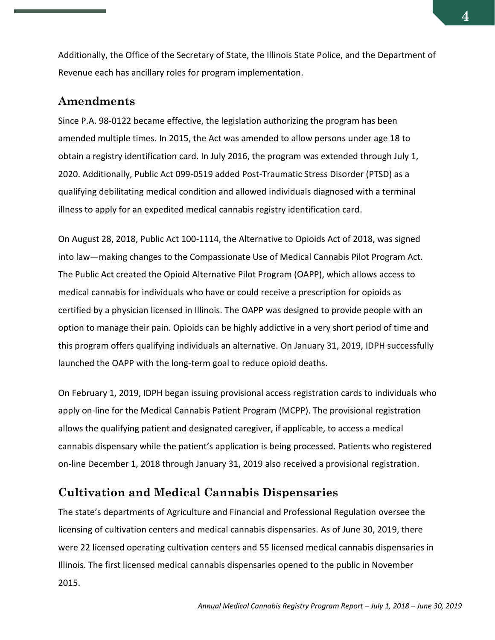Additionally, the Office of the Secretary of State, the Illinois State Police, and the Department of Revenue each has ancillary roles for program implementation.

### <span id="page-3-0"></span>**Amendments**

Since P.A. 98-0122 became effective, the legislation authorizing the program has been amended multiple times. In 2015, the Act was amended to allow persons under age 18 to obtain a registry identification card. In July 2016, the program was extended through July 1, 2020. Additionally, Public Act 099-0519 added Post-Traumatic Stress Disorder (PTSD) as a qualifying debilitating medical condition and allowed individuals diagnosed with a terminal illness to apply for an expedited medical cannabis registry identification card.

On August 28, 2018, Public Act 100-1114, the Alternative to Opioids Act of 2018, was signed into law—making changes to the Compassionate Use of Medical Cannabis Pilot Program Act. The Public Act created the Opioid Alternative Pilot Program (OAPP), which allows access to medical cannabis for individuals who have or could receive a prescription for opioids as certified by a physician licensed in Illinois. The OAPP was designed to provide people with an option to manage their pain. Opioids can be highly addictive in a very short period of time and this program offers qualifying individuals an alternative. On January 31, 2019, IDPH successfully launched the OAPP with the long-term goal to reduce opioid deaths.

On February 1, 2019, IDPH began issuing provisional access registration cards to individuals who apply on-line for the Medical Cannabis Patient Program (MCPP). The provisional registration allows the qualifying patient and designated caregiver, if applicable, to access a medical cannabis dispensary while the patient's application is being processed. Patients who registered on-line December 1, 2018 through January 31, 2019 also received a provisional registration.

### <span id="page-3-1"></span>**Cultivation and Medical Cannabis Dispensaries**

The state's departments of Agriculture and Financial and Professional Regulation oversee the licensing of cultivation centers and medical cannabis dispensaries. As of June 30, 2019, there were 22 licensed operating cultivation centers and 55 licensed medical cannabis dispensaries in Illinois. The first licensed medical cannabis dispensaries opened to the public in November 2015.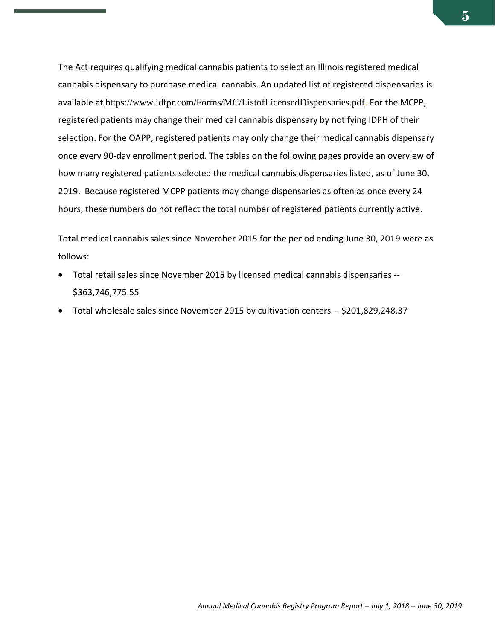The Act requires qualifying medical cannabis patients to select an Illinois registered medical cannabis dispensary to purchase medical cannabis. An updated list of registered dispensaries is available at https://www.idfpr.com/Forms/MC/ListofLicensedDispensaries.pdf. For the MCPP, registered patients may change their medical cannabis dispensary by notifying IDPH of their selection. For the OAPP, registered patients may only change their medical cannabis dispensary once every 90-day enrollment period. The tables on the following pages provide an overview of how many registered patients selected the medical cannabis dispensaries listed, as of June 30, 2019. Because registered MCPP patients may change dispensaries as often as once every 24 hours, these numbers do not reflect the total number of registered patients currently active.

Total medical cannabis sales since November 2015 for the period ending June 30, 2019 were as follows:

- Total retail sales since November 2015 by licensed medical cannabis dispensaries -- \$363,746,775.55
- Total wholesale sales since November 2015 by cultivation centers -- \$201,829,248.37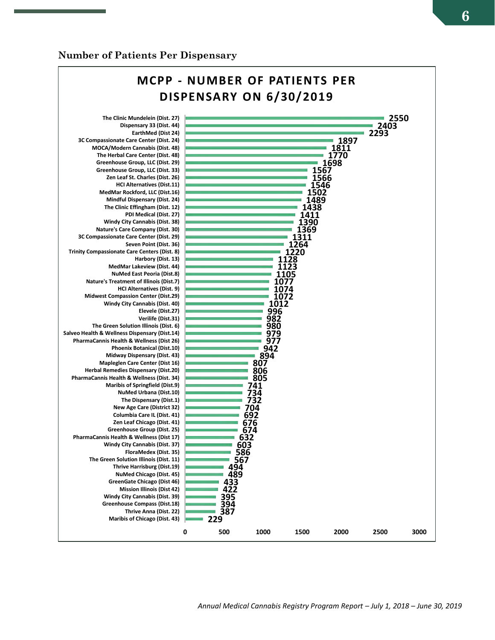#### **Number of Patients Per Dispensary**

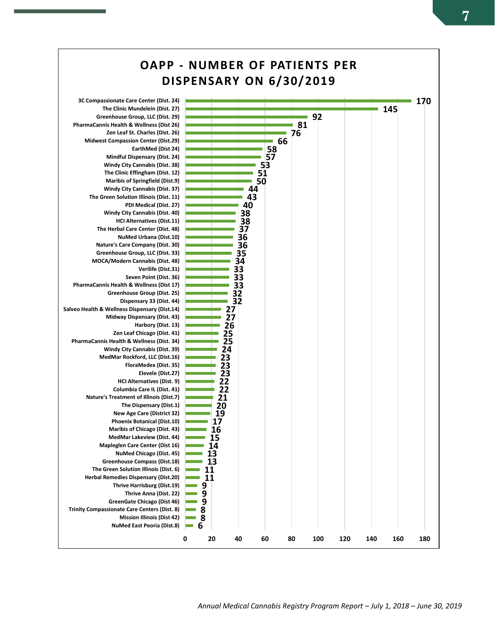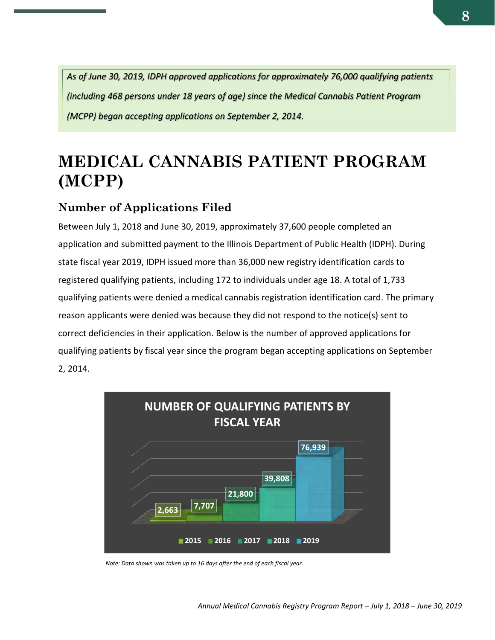*As of June 30, 2019, IDPH approved applications for approximately 76,000 qualifying patients (including 468 persons under 18 years of age) since the Medical Cannabis Patient Program (MCPP) began accepting applications on September 2, 2014.*

# <span id="page-7-0"></span>**MEDICAL CANNABIS PATIENT PROGRAM (MCPP)**

# <span id="page-7-1"></span>**Number of Applications Filed**

Between July 1, 2018 and June 30, 2019, approximately 37,600 people completed an application and submitted payment to the Illinois Department of Public Health (IDPH). During state fiscal year 2019, IDPH issued more than 36,000 new registry identification cards to registered qualifying patients, including 172 to individuals under age 18. A total of 1,733 qualifying patients were denied a medical cannabis registration identification card. The primary reason applicants were denied was because they did not respond to the notice(s) sent to correct deficiencies in their application. Below is the number of approved applications for qualifying patients by fiscal year since the program began accepting applications on September 2, 2014.



*Note: Data shown was taken up to 16 days after the end of each fiscal year.*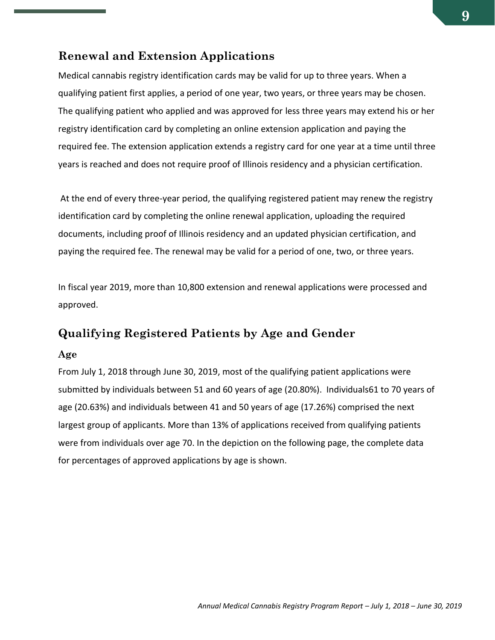### <span id="page-8-0"></span>**Renewal and Extension Applications**

<span id="page-8-1"></span>Medical cannabis registry identification cards may be valid for up to three years. When a qualifying patient first applies, a period of one year, two years, or three years may be chosen. The qualifying patient who applied and was approved for less three years may extend his or her registry identification card by completing an online extension application and paying the required fee. The extension application extends a registry card for one year at a time until three years is reached and does not require proof of Illinois residency and a physician certification.

At the end of every three-year period, the qualifying registered patient may renew the registry identification card by completing the online renewal application, uploading the required documents, including proof of Illinois residency and an updated physician certification, and paying the required fee. The renewal may be valid for a period of one, two, or three years.

In fiscal year 2019, more than 10,800 extension and renewal applications were processed and approved.

### **Qualifying Registered Patients by Age and Gender**

#### **Age**

From July 1, 2018 through June 30, 2019, most of the qualifying patient applications were submitted by individuals between 51 and 60 years of age (20.80%). Individuals61 to 70 years of age (20.63%) and individuals between 41 and 50 years of age (17.26%) comprised the next largest group of applicants. More than 13% of applications received from qualifying patients were from individuals over age 70. In the depiction on the following page, the complete data for percentages of approved applications by age is shown.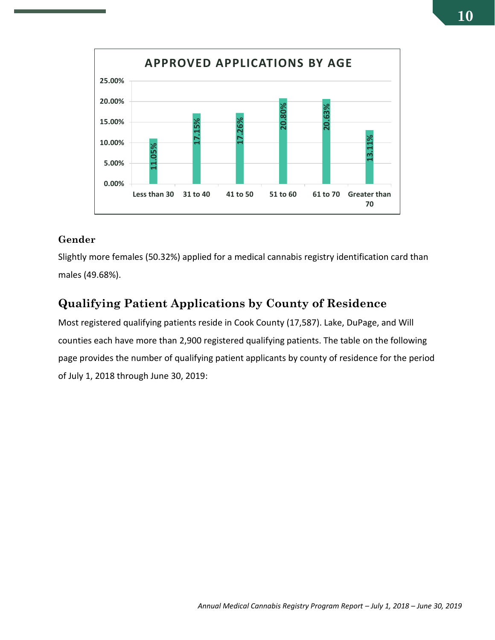

#### **Gender**

Slightly more females (50.32%) applied for a medical cannabis registry identification card than males (49.68%).

## <span id="page-9-0"></span>**Qualifying Patient Applications by County of Residence**

Most registered qualifying patients reside in Cook County (17,587). Lake, DuPage, and Will counties each have more than 2,900 registered qualifying patients. The table on the following page provides the number of qualifying patient applicants by county of residence for the period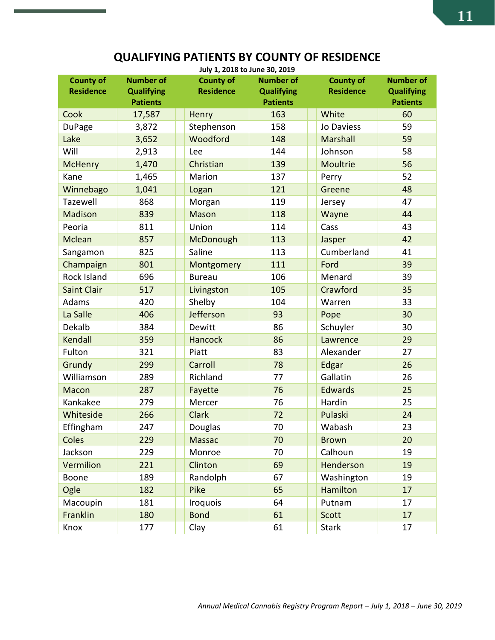# **QUALIFYING PATIENTS BY COUNTY OF RESIDENCE**

| <b>County of</b>   | <b>Number of</b>  | July 1, 2018 to June 30, 2019<br><b>County of</b> | <b>Number of</b>  | <b>County of</b> | <b>Number of</b>  |
|--------------------|-------------------|---------------------------------------------------|-------------------|------------------|-------------------|
| <b>Residence</b>   | <b>Qualifying</b> | <b>Residence</b>                                  | <b>Qualifying</b> | <b>Residence</b> | <b>Qualifying</b> |
|                    | <b>Patients</b>   |                                                   | <b>Patients</b>   |                  | <b>Patients</b>   |
| Cook               | 17,587            | Henry                                             | 163               | White            | 60                |
| DuPage             | 3,872             | Stephenson                                        | 158               | Jo Daviess       | 59                |
| Lake               | 3,652             | Woodford                                          | 148               | Marshall         | 59                |
| Will               | 2,913             | Lee                                               | 144               | Johnson          | 58                |
| <b>McHenry</b>     | 1,470             | Christian                                         | 139               | Moultrie         | 56                |
| Kane               | 1,465             | Marion                                            | 137               | Perry            | 52                |
| Winnebago          | 1,041             | Logan                                             | 121               | Greene           | 48                |
| Tazewell           | 868               | Morgan                                            | 119               | Jersey           | 47                |
| <b>Madison</b>     | 839               | <b>Mason</b>                                      | 118               | Wayne            | 44                |
| Peoria             | 811               | Union                                             | 114               | Cass             | 43                |
| Mclean             | 857               | McDonough                                         | 113               | Jasper           | 42                |
| Sangamon           | 825               | Saline                                            | 113               | Cumberland       | 41                |
| Champaign          | 801               | Montgomery                                        | 111               | Ford             | 39                |
| <b>Rock Island</b> | 696               | <b>Bureau</b>                                     | 106               | Menard           | 39                |
| <b>Saint Clair</b> | 517               | Livingston                                        | 105               | Crawford         | 35                |
| Adams              | 420               | Shelby                                            | 104               | Warren           | 33                |
| La Salle           | 406               | Jefferson                                         | 93                | Pope             | 30                |
| Dekalb             | 384               | Dewitt                                            | 86                | Schuyler         | 30                |
| Kendall            | 359               | <b>Hancock</b>                                    | 86                | Lawrence         | 29                |
| Fulton             | 321               | Piatt                                             | 83                | Alexander        | 27                |
| Grundy             | 299               | Carroll                                           | 78                | Edgar            | 26                |
| Williamson         | 289               | Richland                                          | 77                | Gallatin         | 26                |
| <b>Macon</b>       | 287               | Fayette                                           | 76                | <b>Edwards</b>   | 25                |
| Kankakee           | 279               | Mercer                                            | 76                | Hardin           | 25                |
| Whiteside          | 266               | <b>Clark</b>                                      | 72                | Pulaski          | 24                |
| Effingham          | 247               | Douglas                                           | 70                | Wabash           | 23                |
| Coles              | 229               | <b>Massac</b>                                     | 70                | <b>Brown</b>     | 20                |
| Jackson            | 229               | Monroe                                            | 70                | Calhoun          | 19                |
| Vermilion          | 221               | Clinton                                           | 69                | Henderson        | 19                |
| Boone              | 189               | Randolph                                          | 67                | Washington       | 19                |
| Ogle               | 182               | Pike                                              | 65                | Hamilton         | 17                |
| Macoupin           | 181               | <b>Iroquois</b>                                   | 64                | Putnam           | 17                |
|                    | 180               | <b>Bond</b>                                       | 61                | Scott            | 17                |
| Franklin           |                   |                                                   |                   |                  |                   |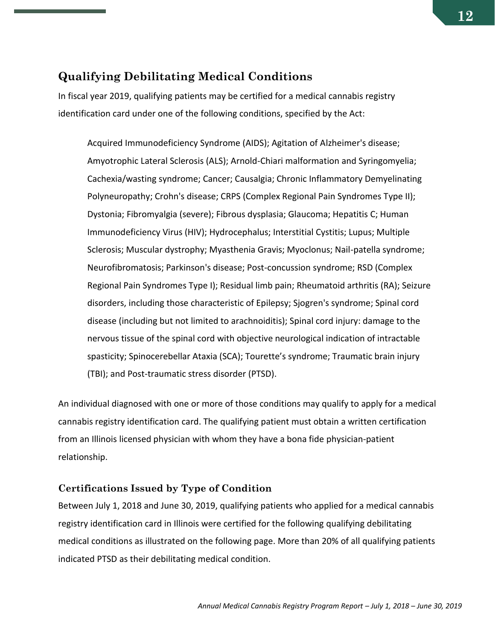### <span id="page-11-0"></span>**Qualifying Debilitating Medical Conditions**

In fiscal year 2019, qualifying patients may be certified for a medical cannabis registry identification card under one of the following conditions, specified by the Act:

Acquired Immunodeficiency Syndrome (AIDS); Agitation of Alzheimer's disease; Amyotrophic Lateral Sclerosis (ALS); Arnold-Chiari malformation and Syringomyelia; Cachexia/wasting syndrome; Cancer; Causalgia; Chronic Inflammatory Demyelinating Polyneuropathy; Crohn's disease; CRPS (Complex Regional Pain Syndromes Type II); Dystonia; Fibromyalgia (severe); Fibrous dysplasia; Glaucoma; Hepatitis C; Human Immunodeficiency Virus (HIV); Hydrocephalus; Interstitial Cystitis; Lupus; Multiple Sclerosis; Muscular dystrophy; Myasthenia Gravis; Myoclonus; Nail-patella syndrome; Neurofibromatosis; Parkinson's disease; Post-concussion syndrome; RSD (Complex Regional Pain Syndromes Type I); Residual limb pain; Rheumatoid arthritis (RA); Seizure disorders, including those characteristic of Epilepsy; Sjogren's syndrome; Spinal cord disease (including but not limited to arachnoiditis); Spinal cord injury: damage to the nervous tissue of the spinal cord with objective neurological indication of intractable spasticity; Spinocerebellar Ataxia (SCA); Tourette's syndrome; Traumatic brain injury (TBI); and Post-traumatic stress disorder (PTSD).

An individual diagnosed with one or more of those conditions may qualify to apply for a medical cannabis registry identification card. The qualifying patient must obtain a written certification from an Illinois licensed physician with whom they have a bona fide physician-patient relationship.

#### **Certifications Issued by Type of Condition**

Between July 1, 2018 and June 30, 2019, qualifying patients who applied for a medical cannabis registry identification card in Illinois were certified for the following qualifying debilitating medical conditions as illustrated on the following page. More than 20% of all qualifying patients indicated PTSD as their debilitating medical condition.

**12**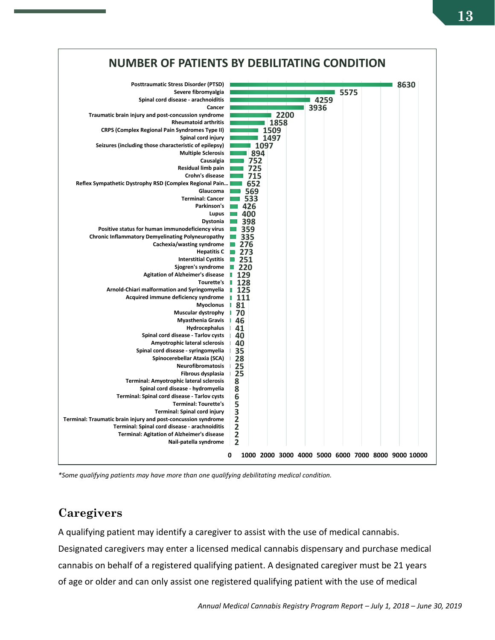

*\*Some qualifying patients may have more than one qualifying debilitating medical condition.*

### <span id="page-12-0"></span>**Caregivers**

A qualifying patient may identify a caregiver to assist with the use of medical cannabis. Designated caregivers may enter a licensed medical cannabis dispensary and purchase medical cannabis on behalf of a registered qualifying patient. A designated caregiver must be 21 years of age or older and can only assist one registered qualifying patient with the use of medical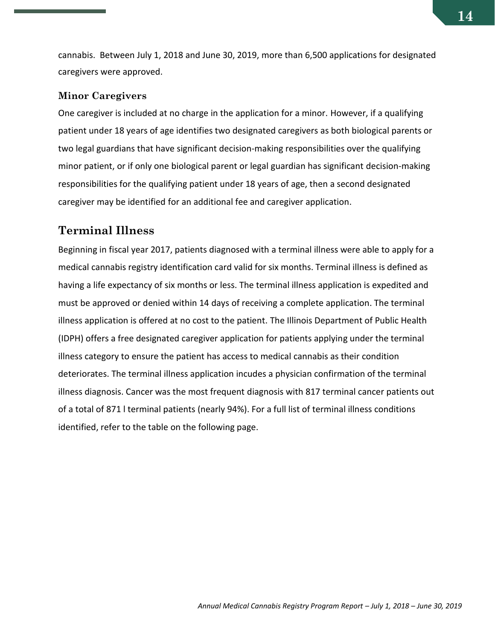cannabis. Between July 1, 2018 and June 30, 2019, more than 6,500 applications for designated caregivers were approved.

#### **Minor Caregivers**

One caregiver is included at no charge in the application for a minor. However, if a qualifying patient under 18 years of age identifies two designated caregivers as both biological parents or two legal guardians that have significant decision-making responsibilities over the qualifying minor patient, or if only one biological parent or legal guardian has significant decision-making responsibilities for the qualifying patient under 18 years of age, then a second designated caregiver may be identified for an additional fee and caregiver application.

### <span id="page-13-0"></span>**Terminal Illness**

Beginning in fiscal year 2017, patients diagnosed with a terminal illness were able to apply for a medical cannabis registry identification card valid for six months. Terminal illness is defined as having a life expectancy of six months or less. The terminal illness application is expedited and must be approved or denied within 14 days of receiving a complete application. The terminal illness application is offered at no cost to the patient. The Illinois Department of Public Health (IDPH) offers a free designated caregiver application for patients applying under the terminal illness category to ensure the patient has access to medical cannabis as their condition deteriorates. The terminal illness application incudes a physician confirmation of the terminal illness diagnosis. Cancer was the most frequent diagnosis with 817 terminal cancer patients out of a total of 871 l terminal patients (nearly 94%). For a full list of terminal illness conditions identified, refer to the table on the following page.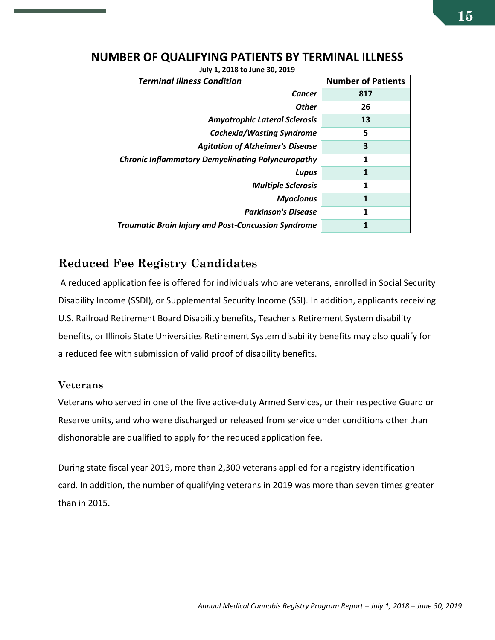| <b>Terminal Illness Condition</b>                          | <b>Number of Patients</b> |
|------------------------------------------------------------|---------------------------|
| Cancer                                                     | 817                       |
| <b>Other</b>                                               | 26                        |
| <b>Amyotrophic Lateral Sclerosis</b>                       | 13                        |
| <b>Cachexia/Wasting Syndrome</b>                           | 5                         |
| <b>Agitation of Alzheimer's Disease</b>                    | 3                         |
| <b>Chronic Inflammatory Demyelinating Polyneuropathy</b>   | 1                         |
| Lupus                                                      | 1                         |
| <b>Multiple Sclerosis</b>                                  | 1                         |
| <b>Myoclonus</b>                                           | 1                         |
| <b>Parkinson's Disease</b>                                 | 1                         |
| <b>Traumatic Brain Injury and Post-Concussion Syndrome</b> |                           |

#### **NUMBER OF QUALIFYING PATIENTS BY TERMINAL ILLNESS**

**July 1, 2018 to June 30, 2019**

### <span id="page-14-0"></span>**Reduced Fee Registry Candidates**

A reduced application fee is offered for individuals who are veterans, enrolled in Social Security Disability Income (SSDI), or Supplemental Security Income (SSI). In addition, applicants receiving U.S. Railroad Retirement Board Disability benefits, Teacher's Retirement System disability benefits, or Illinois State Universities Retirement System disability benefits may also qualify for a reduced fee with submission of valid proof of disability benefits.

#### **Veterans**

Veterans who served in one of the five active-duty Armed Services, or their respective Guard or Reserve units, and who were discharged or released from service under conditions other than dishonorable are qualified to apply for the reduced application fee.

During state fiscal year 2019, more than 2,300 veterans applied for a registry identification card. In addition, the number of qualifying veterans in 2019 was more than seven times greater than in 2015.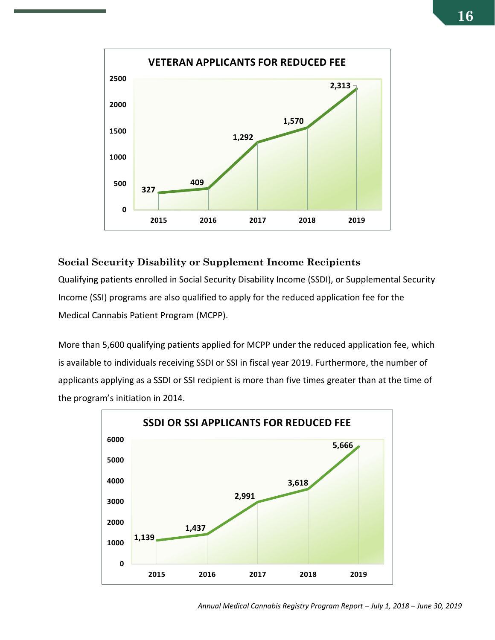

#### **Social Security Disability or Supplement Income Recipients**

Qualifying patients enrolled in Social Security Disability Income (SSDI), or Supplemental Security Income (SSI) programs are also qualified to apply for the reduced application fee for the Medical Cannabis Patient Program (MCPP).

More than 5,600 qualifying patients applied for MCPP under the reduced application fee, which is available to individuals receiving SSDI or SSI in fiscal year 2019. Furthermore, the number of applicants applying as a SSDI or SSI recipient is more than five times greater than at the time of the program's initiation in 2014.

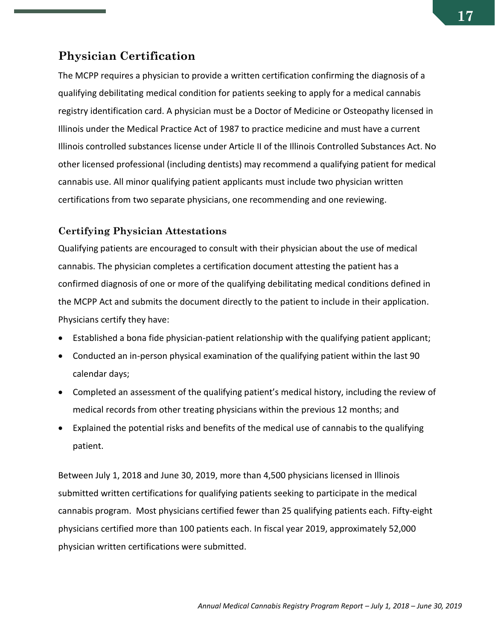### <span id="page-16-0"></span>**Physician Certification**

The MCPP requires a physician to provide a written certification confirming the diagnosis of a qualifying debilitating medical condition for patients seeking to apply for a medical cannabis registry identification card. A physician must be a Doctor of Medicine or Osteopathy licensed in Illinois under the Medical Practice Act of 1987 to practice medicine and must have a current Illinois controlled substances license under Article II of the Illinois Controlled Substances Act. No other licensed professional (including dentists) may recommend a qualifying patient for medical cannabis use. All minor qualifying patient applicants must include two physician written certifications from two separate physicians, one recommending and one reviewing.

#### **Certifying Physician Attestations**

Qualifying patients are encouraged to consult with their physician about the use of medical cannabis. The physician completes a certification document attesting the patient has a confirmed diagnosis of one or more of the qualifying debilitating medical conditions defined in the MCPP Act and submits the document directly to the patient to include in their application. Physicians certify they have:

- Established a bona fide physician-patient relationship with the qualifying patient applicant;
- Conducted an in-person physical examination of the qualifying patient within the last 90 calendar days;
- Completed an assessment of the qualifying patient's medical history, including the review of medical records from other treating physicians within the previous 12 months; and
- Explained the potential risks and benefits of the medical use of cannabis to the qualifying patient.

Between July 1, 2018 and June 30, 2019, more than 4,500 physicians licensed in Illinois submitted written certifications for qualifying patients seeking to participate in the medical cannabis program. Most physicians certified fewer than 25 qualifying patients each. Fifty-eight physicians certified more than 100 patients each. In fiscal year 2019, approximately 52,000 physician written certifications were submitted.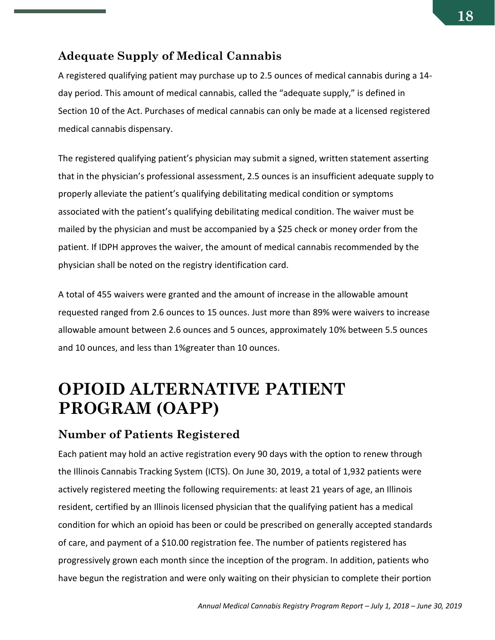### <span id="page-17-0"></span>**Adequate Supply of Medical Cannabis**

A registered qualifying patient may purchase up to 2.5 ounces of medical cannabis during a 14 day period. This amount of medical cannabis, called the "adequate supply," is defined in Section 10 of the Act. Purchases of medical cannabis can only be made at a licensed registered medical cannabis dispensary.

The registered qualifying patient's physician may submit a signed, written statement asserting that in the physician's professional assessment, 2.5 ounces is an insufficient adequate supply to properly alleviate the patient's qualifying debilitating medical condition or symptoms associated with the patient's qualifying debilitating medical condition. The waiver must be mailed by the physician and must be accompanied by a \$25 check or money order from the patient. If IDPH approves the waiver, the amount of medical cannabis recommended by the physician shall be noted on the registry identification card.

A total of 455 waivers were granted and the amount of increase in the allowable amount requested ranged from 2.6 ounces to 15 ounces. Just more than 89% were waivers to increase allowable amount between 2.6 ounces and 5 ounces, approximately 10% between 5.5 ounces and 10 ounces, and less than 1%greater than 10 ounces.

# <span id="page-17-1"></span>**OPIOID ALTERNATIVE PATIENT PROGRAM (OAPP)**

### <span id="page-17-2"></span>**Number of Patients Registered**

Each patient may hold an active registration every 90 days with the option to renew through the Illinois Cannabis Tracking System (ICTS). On June 30, 2019, a total of 1,932 patients were actively registered meeting the following requirements: at least 21 years of age, an Illinois resident, certified by an Illinois licensed physician that the qualifying patient has a medical condition for which an opioid has been or could be prescribed on generally accepted standards of care, and payment of a \$10.00 registration fee. The number of patients registered has progressively grown each month since the inception of the program. In addition, patients who have begun the registration and were only waiting on their physician to complete their portion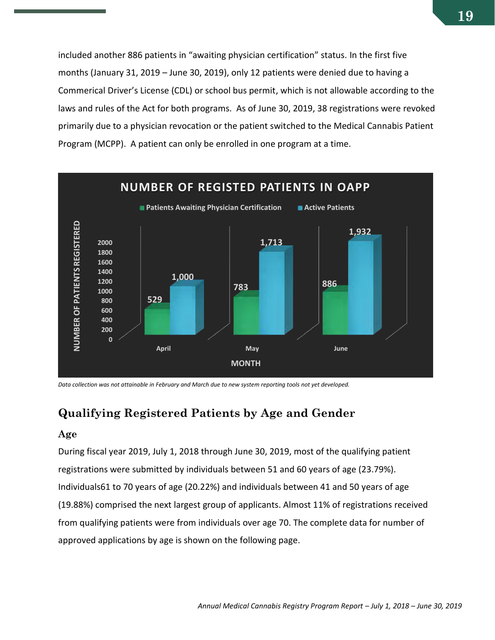included another 886 patients in "awaiting physician certification" status. In the first five months (January 31, 2019 – June 30, 2019), only 12 patients were denied due to having a Commerical Driver's License (CDL) or school bus permit, which is not allowable according to the laws and rules of the Act for both programs. As of June 30, 2019, 38 registrations were revoked primarily due to a physician revocation or the patient switched to the Medical Cannabis Patient Program (MCPP). A patient can only be enrolled in one program at a time.



*Data collection was not attainable in February and March due to new system reporting tools not yet developed.*

## <span id="page-18-0"></span>**Qualifying Registered Patients by Age and Gender**

#### **Age**

During fiscal year 2019, July 1, 2018 through June 30, 2019, most of the qualifying patient registrations were submitted by individuals between 51 and 60 years of age (23.79%). Individuals61 to 70 years of age (20.22%) and individuals between 41 and 50 years of age (19.88%) comprised the next largest group of applicants. Almost 11% of registrations received from qualifying patients were from individuals over age 70. The complete data for number of approved applications by age is shown on the following page.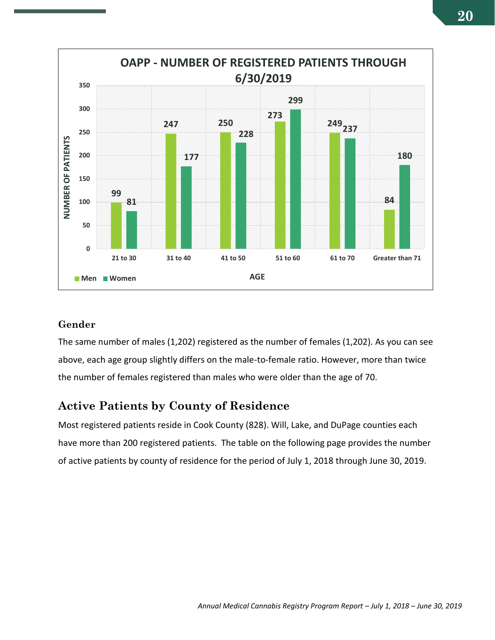

#### **Gender**

The same number of males (1,202) registered as the number of females (1,202). As you can see above, each age group slightly differs on the male-to-female ratio. However, more than twice the number of females registered than males who were older than the age of 70.

### <span id="page-19-0"></span>**Active Patients by County of Residence**

Most registered patients reside in Cook County (828). Will, Lake, and DuPage counties each have more than 200 registered patients. The table on the following page provides the number of active patients by county of residence for the period of July 1, 2018 through June 30, 2019.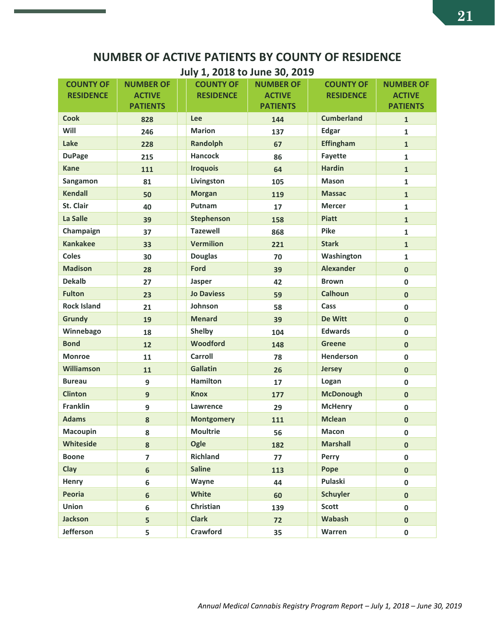## **NUMBER OF ACTIVE PATIENTS BY COUNTY OF RESIDENCE**

**July 1, 2018 to June 30, 2019**

| <b>COUNTY OF</b>   | <b>NUMBER OF</b> | <b>COUNTY OF</b>  | $\cdots$ $\cdots$<br><b>NUMBER OF</b> | <b>COUNTY OF</b>  | <b>NUMBER OF</b> |
|--------------------|------------------|-------------------|---------------------------------------|-------------------|------------------|
| <b>RESIDENCE</b>   | <b>ACTIVE</b>    | <b>RESIDENCE</b>  | <b>ACTIVE</b>                         | <b>RESIDENCE</b>  | <b>ACTIVE</b>    |
|                    | <b>PATIENTS</b>  |                   | <b>PATIENTS</b>                       |                   | <b>PATIENTS</b>  |
| <b>Cook</b>        | 828              | Lee               | 144                                   | <b>Cumberland</b> | $\mathbf{1}$     |
| Will               | 246              | <b>Marion</b>     | 137                                   | <b>Edgar</b>      | $\mathbf{1}$     |
| Lake               | 228              | Randolph          | 67                                    | <b>Effingham</b>  | $\mathbf{1}$     |
| <b>DuPage</b>      | 215              | <b>Hancock</b>    | 86                                    | <b>Fayette</b>    | $\mathbf{1}$     |
| <b>Kane</b>        | 111              | <b>Iroquois</b>   | 64                                    | <b>Hardin</b>     | $\mathbf{1}$     |
| Sangamon           | 81               | Livingston        | 105                                   | <b>Mason</b>      | $\mathbf{1}$     |
| <b>Kendall</b>     | 50               | <b>Morgan</b>     | 119                                   | <b>Massac</b>     | $\mathbf{1}$     |
| St. Clair          | 40               | Putnam            | 17                                    | <b>Mercer</b>     | $\mathbf{1}$     |
| La Salle           | 39               | Stephenson        | 158                                   | <b>Piatt</b>      | $\mathbf{1}$     |
| Champaign          | 37               | <b>Tazewell</b>   | 868                                   | <b>Pike</b>       | $\mathbf{1}$     |
| <b>Kankakee</b>    | 33               | <b>Vermilion</b>  | 221                                   | <b>Stark</b>      | $\mathbf{1}$     |
| <b>Coles</b>       | 30               | <b>Douglas</b>    | 70                                    | Washington        | $\mathbf{1}$     |
| <b>Madison</b>     | 28               | Ford              | 39                                    | <b>Alexander</b>  | $\mathbf{0}$     |
| <b>Dekalb</b>      | 27               | Jasper            | 42                                    | <b>Brown</b>      | $\mathbf{0}$     |
| <b>Fulton</b>      | 23               | <b>Jo Daviess</b> | 59                                    | <b>Calhoun</b>    | $\mathbf{0}$     |
| <b>Rock Island</b> | 21               | Johnson           | 58                                    | Cass              | 0                |
| <b>Grundy</b>      | 19               | <b>Menard</b>     | 39                                    | De Witt           | $\mathbf 0$      |
| Winnebago          | 18               | Shelby            | 104                                   | <b>Edwards</b>    | $\mathbf{0}$     |
| <b>Bond</b>        | 12               | Woodford          | 148                                   | <b>Greene</b>     | $\mathbf{0}$     |
| <b>Monroe</b>      | 11               | Carroll           | 78                                    | Henderson         | $\mathbf{0}$     |
| <b>Williamson</b>  | 11               | <b>Gallatin</b>   | 26                                    | <b>Jersey</b>     | $\mathbf 0$      |
| <b>Bureau</b>      | 9                | <b>Hamilton</b>   | 17                                    | Logan             | $\mathbf 0$      |
| <b>Clinton</b>     | 9                | <b>Knox</b>       | 177                                   | <b>McDonough</b>  | $\mathbf{0}$     |
| <b>Franklin</b>    | 9                | Lawrence          | 29                                    | <b>McHenry</b>    | 0                |
| <b>Adams</b>       | 8                | <b>Montgomery</b> | 111                                   | <b>Mclean</b>     | $\mathbf 0$      |
| <b>Macoupin</b>    | 8                | <b>Moultrie</b>   | 56                                    | <b>Macon</b>      | 0                |
| Whiteside          | 8                | Ogle              | 182                                   | <b>Marshall</b>   | $\pmb{0}$        |
| <b>Boone</b>       | $\overline{7}$   | <b>Richland</b>   | 77                                    | Perry             | 0                |
| Clay               | $6\phantom{a}$   | <b>Saline</b>     | 113                                   | Pope              | $\mathbf 0$      |
| Henry              | 6                | Wayne             | 44                                    | Pulaski           | $\mathbf 0$      |
| Peoria             | $6\phantom{a}$   | White             | 60                                    | <b>Schuyler</b>   | $\mathbf{0}$     |
| Union              | 6                | Christian         | 139                                   | <b>Scott</b>      | $\mathbf 0$      |
| <b>Jackson</b>     | 5                | <b>Clark</b>      | 72                                    | Wabash            | $\mathbf 0$      |
| Jefferson          | 5                | Crawford          | 35                                    | Warren            | $\mathbf 0$      |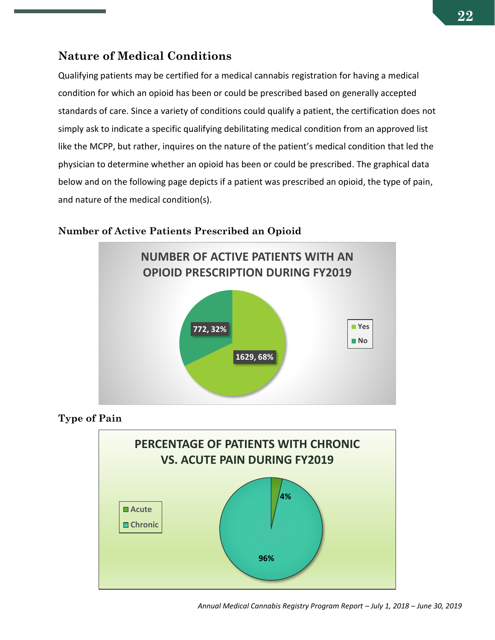### <span id="page-21-0"></span>**Nature of Medical Conditions**

Qualifying patients may be certified for a medical cannabis registration for having a medical condition for which an opioid has been or could be prescribed based on generally accepted standards of care. Since a variety of conditions could qualify a patient, the certification does not simply ask to indicate a specific qualifying debilitating medical condition from an approved list like the MCPP, but rather, inquires on the nature of the patient's medical condition that led the physician to determine whether an opioid has been or could be prescribed. The graphical data below and on the following page depicts if a patient was prescribed an opioid, the type of pain, and nature of the medical condition(s).



#### **Number of Active Patients Prescribed an Opioid**

**Type of Pain**

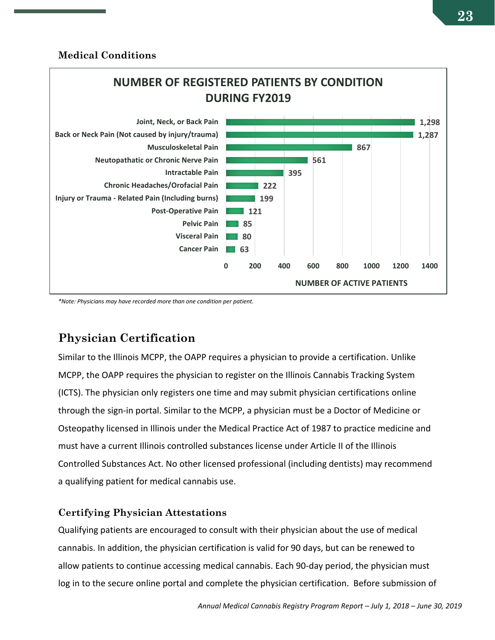#### **Medical Conditions**



*\*Note: Physicians may have recorded more than one condition per patient.*

## <span id="page-22-0"></span>**Physician Certification**

Similar to the Illinois MCPP, the OAPP requires a physician to provide a certification. Unlike MCPP, the OAPP requires the physician to register on the Illinois Cannabis Tracking System (ICTS). The physician only registers one time and may submit physician certifications online through the sign-in portal. Similar to the MCPP, a physician must be a Doctor of Medicine or Osteopathy licensed in Illinois under the Medical Practice Act of 1987 to practice medicine and must have a current Illinois controlled substances license under Article II of the Illinois Controlled Substances Act. No other licensed professional (including dentists) may recommend a qualifying patient for medical cannabis use.

#### **Certifying Physician Attestations**

Qualifying patients are encouraged to consult with their physician about the use of medical cannabis. In addition, the physician certification is valid for 90 days, but can be renewed to allow patients to continue accessing medical cannabis. Each 90-day period, the physician must log in to the secure online portal and complete the physician certification. Before submission of